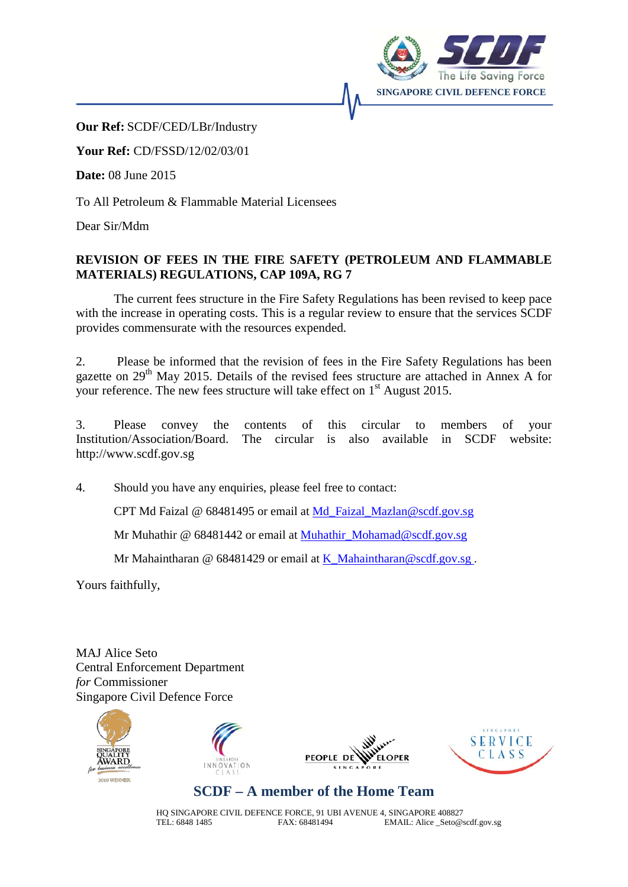

**Our Ref:** SCDF/CED/LBr/Industry

**Your Ref:** CD/FSSD/12/02/03/01

**Date:** 08 June 2015

To All Petroleum & Flammable Material Licensees

Dear Sir/Mdm

## **REVISION OF FEES IN THE FIRE SAFETY (PETROLEUM AND FLAMMABLE MATERIALS) REGULATIONS, CAP 109A, RG 7**

The current fees structure in the Fire Safety Regulations has been revised to keep pace with the increase in operating costs. This is a regular review to ensure that the services SCDF provides commensurate with the resources expended.

2. Please be informed that the revision of fees in the Fire Safety Regulations has been gazette on  $29<sup>th</sup>$  May 2015. Details of the revised fees structure are attached in Annex A for your reference. The new fees structure will take effect on  $1<sup>st</sup>$  August 2015.

3. Please convey the contents of this circular to members of your Institution/Association/Board. The circular is also available in SCDF website: Institution/Association/Board. The circular is also available in SCDF website: http://www.scdf.gov.sg

4. Should you have any enquiries, please feel free to contact:

CPT Md Faizal @ 68481495 or email at Md\_Faizal\_Mazlan@scdf.gov.sg

Mr Muhathir @ 68481442 or email at Muhathir\_Mohamad@scdf.gov.sg

Mr Mahaintharan @ 68481429 or email at K\_Mahaintharan@scdf.gov.sg.

Yours faithfully,

MAJ Alice Seto Central Enforcement Department *for* Commissioner Singapore Civil Defence Force









## **SCDF – A member of the Home Team**

HQ SINGAPORE CIVIL DEFENCE FORCE, 91 UBI AVENUE 4, SINGAPORE 408827<br>TEL: 6848 1485 FAX: 68481494 EMAIL: Alice\_Seto@s EMAIL: Alice \_Seto@scdf.gov.sg